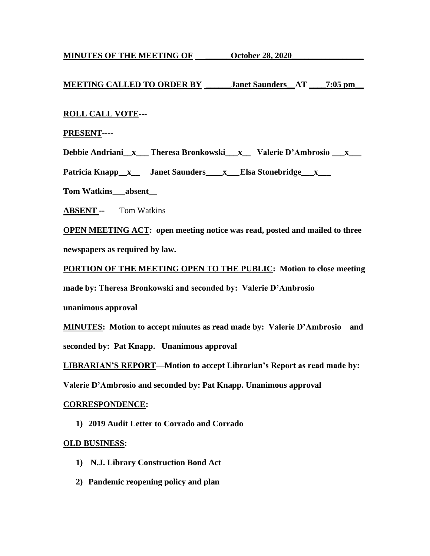**MINUTES OF THE MEETING OF \_\_\_\_\_\_\_\_\_October 28, 2020\_\_\_\_\_\_\_\_\_\_\_\_\_\_\_\_\_\_\_\_\_\_\_\_\_\_\_\_** 

# **MEETING CALLED TO ORDER BY \_\_\_\_\_\_Janet Saunders\_\_AT \_\_\_\_7:05 pm\_\_**

## **ROLL CALL VOTE---**

## **PRESENT----**

**Debbie Andriani\_\_x\_\_\_ Theresa Bronkowski\_\_\_x\_\_ Valerie D'Ambrosio \_\_\_x\_\_\_** 

Patricia Knapp\_x\_\_ Janet Saunders\_\_\_x\_\_Elsa Stonebridge\_\_x\_\_\_

**Tom Watkins\_\_\_absent\_\_**

**ABSENT --** Tom Watkins

**OPEN MEETING ACT: open meeting notice was read, posted and mailed to three newspapers as required by law.**

**PORTION OF THE MEETING OPEN TO THE PUBLIC: Motion to close meeting** 

**made by: Theresa Bronkowski and seconded by: Valerie D'Ambrosio** 

**unanimous approval**

**MINUTES: Motion to accept minutes as read made by: Valerie D'Ambrosio and seconded by: Pat Knapp. Unanimous approval**

**LIBRARIAN'S REPORT—Motion to accept Librarian's Report as read made by:**

**Valerie D'Ambrosio and seconded by: Pat Knapp. Unanimous approval**

## **CORRESPONDENCE:**

**1) 2019 Audit Letter to Corrado and Corrado**

## **OLD BUSINESS:**

- **1) N.J. Library Construction Bond Act**
- **2) Pandemic reopening policy and plan**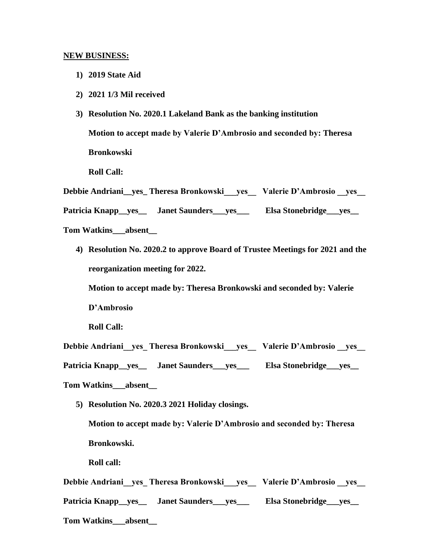#### **NEW BUSINESS:**

- **1) 2019 State Aid**
- **2) 2021 1/3 Mil received**
- **3) Resolution No. 2020.1 Lakeland Bank as the banking institution Motion to accept made by Valerie D'Ambrosio and seconded by: Theresa Bronkowski**

**Roll Call:**

**Debbie Andriani\_\_yes\_ Theresa Bronkowski\_\_\_yes\_\_ Valerie D'Ambrosio \_\_yes\_\_** 

Patricia Knapp\_yes\_\_ Janet Saunders\_yes\_\_\_\_ Elsa Stonebridge\_yes\_\_

**Tom Watkins\_\_\_absent\_\_**

**4) Resolution No. 2020.2 to approve Board of Trustee Meetings for 2021 and the reorganization meeting for 2022.**

**Motion to accept made by: Theresa Bronkowski and seconded by: Valerie D'Ambrosio**

**Roll Call:**

**Debbie Andriani\_\_yes\_ Theresa Bronkowski\_\_\_yes\_\_ Valerie D'Ambrosio \_\_yes\_\_** 

**Patricia Knapp\_\_yes\_\_ Janet Saunders\_\_\_yes\_\_\_ Elsa Stonebridge\_\_\_yes\_\_**

**Tom Watkins\_\_\_absent\_\_**

**5) Resolution No. 2020.3 2021 Holiday closings.**

**Motion to accept made by: Valerie D'Ambrosio and seconded by: Theresa Bronkowski.** 

**Roll call:**

**Debbie Andriani\_\_yes\_ Theresa Bronkowski\_\_\_yes\_\_ Valerie D'Ambrosio \_\_yes\_\_**  Patricia Knapp\_yes\_\_ Janet Saunders\_yes\_\_\_\_ Elsa Stonebridge\_yes\_\_ **Tom Watkins\_\_\_absent\_\_**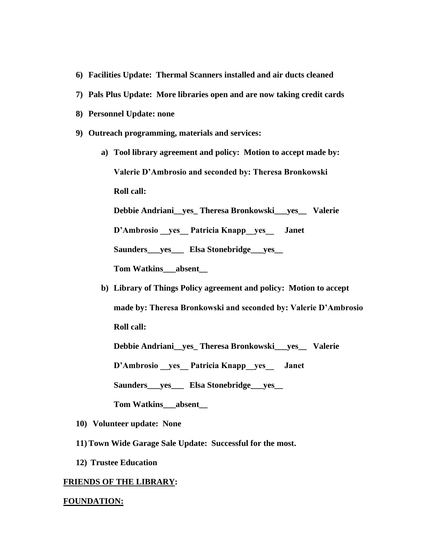- **6) Facilities Update: Thermal Scanners installed and air ducts cleaned**
- **7) Pals Plus Update: More libraries open and are now taking credit cards**
- **8) Personnel Update: none**
- **9) Outreach programming, materials and services:**
	- **a) Tool library agreement and policy: Motion to accept made by: Valerie D'Ambrosio and seconded by: Theresa Bronkowski Roll call: Debbie Andriani\_\_yes\_ Theresa Bronkowski\_\_\_yes\_\_ Valerie**

**D'Ambrosio \_\_yes\_\_ Patricia Knapp\_\_yes\_\_ Janet** 

**Saunders\_\_\_yes\_\_\_ Elsa Stonebridge\_\_\_yes\_\_**

**Tom Watkins\_\_\_absent\_\_**

**b) Library of Things Policy agreement and policy: Motion to accept made by: Theresa Bronkowski and seconded by: Valerie D'Ambrosio Roll call:**

**Debbie Andriani\_\_yes\_ Theresa Bronkowski\_\_\_yes\_\_ Valerie** 

**D'Ambrosio \_\_yes\_\_ Patricia Knapp\_\_yes\_\_ Janet** 

**Saunders\_\_\_yes\_\_\_ Elsa Stonebridge\_\_\_yes\_\_**

**Tom Watkins\_\_\_absent\_\_**

- **10) Volunteer update: None**
- **11) Town Wide Garage Sale Update: Successful for the most.**
- **12) Trustee Education**

#### **FRIENDS OF THE LIBRARY:**

#### **FOUNDATION:**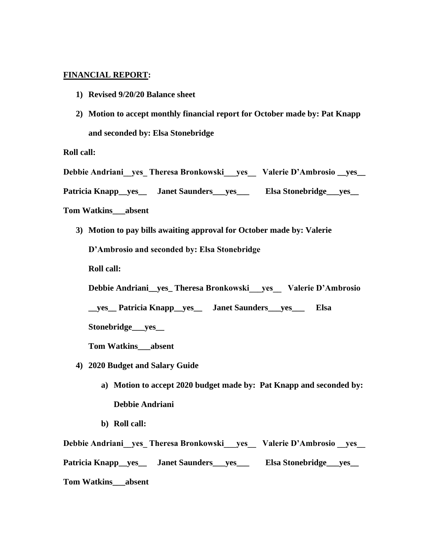## **FINANCIAL REPORT:**

- **1) Revised 9/20/20 Balance sheet**
- **2) Motion to accept monthly financial report for October made by: Pat Knapp and seconded by: Elsa Stonebridge**

**Roll call:**

**Debbie Andriani\_\_yes\_ Theresa Bronkowski\_\_\_yes\_\_ Valerie D'Ambrosio \_\_yes\_\_** 

**Patricia Knapp\_\_yes\_\_ Janet Saunders\_\_\_yes\_\_\_ Elsa Stonebridge\_\_\_yes\_\_**

**Tom Watkins\_\_\_absent**

**3) Motion to pay bills awaiting approval for October made by: Valerie** 

**D'Ambrosio and seconded by: Elsa Stonebridge**

**Roll call:**

**Debbie Andriani\_\_yes\_ Theresa Bronkowski\_\_\_yes\_\_ Valerie D'Ambrosio** 

**\_\_yes\_\_ Patricia Knapp\_\_yes\_\_ Janet Saunders\_\_\_yes\_\_\_ Elsa** 

**Stonebridge\_\_\_yes\_\_**

**Tom Watkins\_\_\_absent**

- **4) 2020 Budget and Salary Guide**
	- **a) Motion to accept 2020 budget made by: Pat Knapp and seconded by: Debbie Andriani**
	- **b) Roll call:**

**Debbie Andriani\_\_yes\_ Theresa Bronkowski\_\_\_yes\_\_ Valerie D'Ambrosio \_\_yes\_\_ Patricia Knapp\_\_yes\_\_ Janet Saunders\_\_\_yes\_\_\_ Elsa Stonebridge\_\_\_yes\_\_**

**Tom Watkins\_\_\_absent**